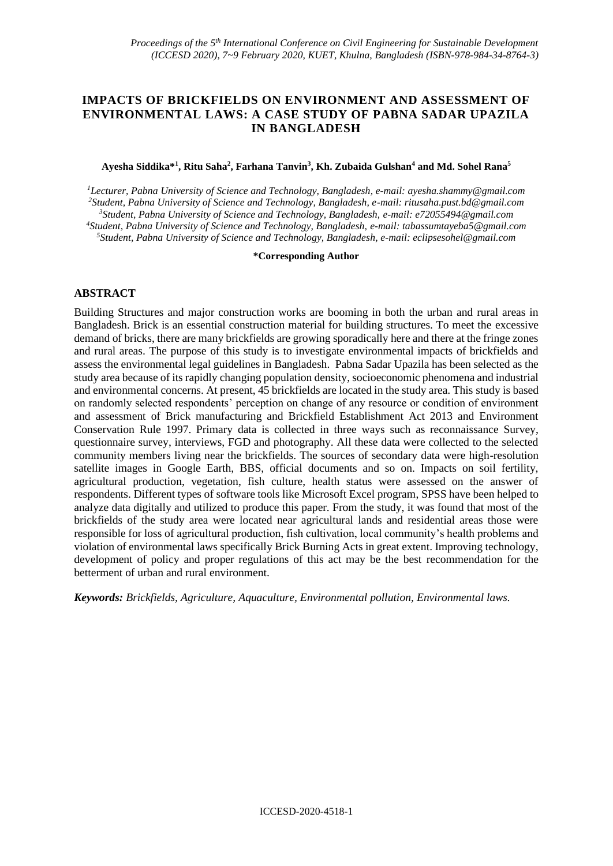# **IMPACTS OF BRICKFIELDS ON ENVIRONMENT AND ASSESSMENT OF ENVIRONMENTAL LAWS: A CASE STUDY OF PABNA SADAR UPAZILA IN BANGLADESH**

#### **Ayesha Siddika\*<sup>1</sup> , Ritu Saha<sup>2</sup> , Farhana Tanvin<sup>3</sup> , Kh. Zubaida Gulshan<sup>4</sup> and Md. Sohel Rana<sup>5</sup>**

*Lecturer, Pabna University of Science and Technology, Bangladesh, e-mail: ayesha.shammy@gmail.com Student, Pabna University of Science and Technology, Bangladesh, e-mail: [ritusaha.pust.bd@gmail.com](mailto:ritusaha.pust.bd@gmail.com) Student, Pabna University of Science and Technology, Bangladesh, e-mail: e72055494@gmail.com Student, Pabna University of Science and Technology, Bangladesh, e-mail: tabassumtayeba5@gmail.com Student, Pabna University of Science and Technology, Bangladesh, e-mail: eclipsesohel@gmail.com*

#### **\*Corresponding Author**

### **ABSTRACT**

Building Structures and major construction works are booming in both the urban and rural areas in Bangladesh. Brick is an essential construction material for building structures. To meet the excessive demand of bricks, there are many brickfields are growing sporadically here and there at the fringe zones and rural areas. The purpose of this study is to investigate environmental impacts of brickfields and assess the environmental legal guidelines in Bangladesh. Pabna Sadar Upazila has been selected as the study area because of its rapidly changing population density, socioeconomic phenomena and industrial and environmental concerns. At present, 45 brickfields are located in the study area. This study is based on randomly selected respondents' perception on change of any resource or condition of environment and assessment of Brick manufacturing and Brickfield Establishment Act 2013 and Environment Conservation Rule 1997. Primary data is collected in three ways such as reconnaissance Survey, questionnaire survey, interviews, FGD and photography. All these data were collected to the selected community members living near the brickfields. The sources of secondary data were high-resolution satellite images in Google Earth, BBS, official documents and so on. Impacts on soil fertility, agricultural production, vegetation, fish culture, health status were assessed on the answer of respondents. Different types of software tools like Microsoft Excel program, SPSS have been helped to analyze data digitally and utilized to produce this paper. From the study, it was found that most of the brickfields of the study area were located near agricultural lands and residential areas those were responsible for loss of agricultural production, fish cultivation, local community's health problems and violation of environmental laws specifically Brick Burning Acts in great extent. Improving technology, development of policy and proper regulations of this act may be the best recommendation for the betterment of urban and rural environment.

*Keywords: Brickfields, Agriculture, Aquaculture, Environmental pollution, Environmental laws.*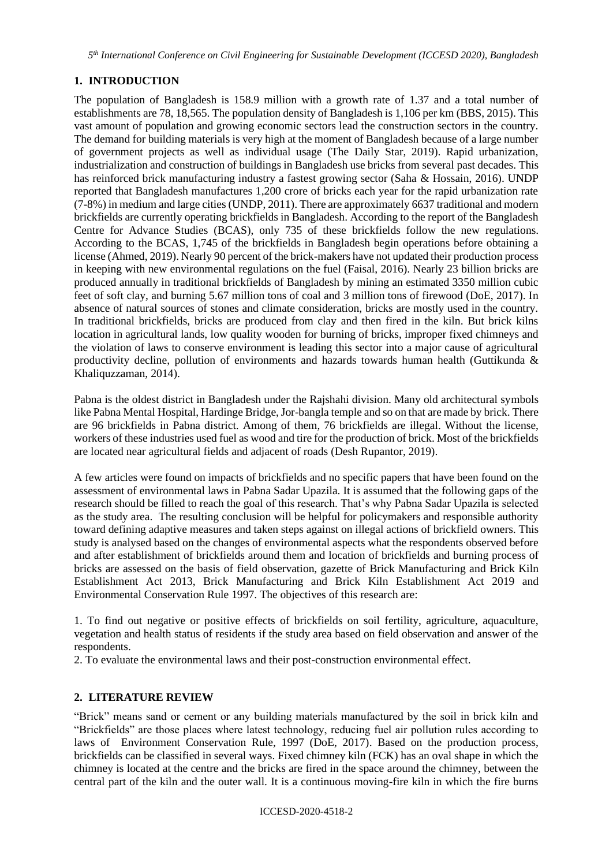*5 th International Conference on Civil Engineering for Sustainable Development (ICCESD 2020), Bangladesh*

# **1. INTRODUCTION**

The population of Bangladesh is 158.9 million with a growth rate of 1.37 and a total number of establishments are 78, 18,565. The population density of Bangladesh is 1,106 per km (BBS, 2015). This vast amount of population and growing economic sectors lead the construction sectors in the country. The demand for building materials is very high at the moment of Bangladesh because of a large number of government projects as well as individual usage (The Daily Star, 2019). Rapid urbanization, industrialization and construction of buildings in Bangladesh use bricks from several past decades. This has reinforced brick manufacturing industry a fastest growing sector (Saha & Hossain, 2016). UNDP reported that Bangladesh manufactures 1,200 crore of bricks each year for the rapid urbanization rate (7-8%) in medium and large cities (UNDP, 2011). There are approximately 6637 traditional and modern brickfields are currently operating brickfields in Bangladesh. According to the report of the Bangladesh Centre for Advance Studies (BCAS), only 735 of these brickfields follow the new regulations. According to the BCAS, 1,745 of the brickfields in Bangladesh begin operations before obtaining a license (Ahmed, 2019). Nearly 90 percent of the brick-makers have not updated their production process in keeping with new environmental regulations on the fuel (Faisal, 2016). Nearly 23 billion bricks are produced annually in traditional brickfields of Bangladesh by mining an estimated 3350 million cubic feet of soft clay, and burning 5.67 million tons of coal and 3 million tons of firewood (DoE, 2017). In absence of natural sources of stones and climate consideration, bricks are mostly used in the country. In traditional brickfields, bricks are produced from clay and then fired in the kiln. But brick kilns location in agricultural lands, low quality wooden for burning of bricks, improper fixed chimneys and the violation of laws to conserve environment is leading this sector into a major cause of agricultural productivity decline, pollution of environments and hazards towards human health (Guttikunda  $\&$ Khaliquzzaman, 2014).

Pabna is the oldest district in Bangladesh under the Rajshahi division. Many old architectural symbols like Pabna Mental Hospital, Hardinge Bridge, Jor-bangla temple and so on that are made by brick. There are 96 brickfields in Pabna district. Among of them, 76 brickfields are illegal. Without the license, workers of these industries used fuel as wood and tire for the production of brick. Most of the brickfields are located near agricultural fields and adjacent of roads (Desh Rupantor, 2019).

A few articles were found on impacts of brickfields and no specific papers that have been found on the assessment of environmental laws in Pabna Sadar Upazila. It is assumed that the following gaps of the research should be filled to reach the goal of this research. That's why Pabna Sadar Upazila is selected as the study area. The resulting conclusion will be helpful for policymakers and responsible authority toward defining adaptive measures and taken steps against on illegal actions of brickfield owners. This study is analysed based on the changes of environmental aspects what the respondents observed before and after establishment of brickfields around them and location of brickfields and burning process of bricks are assessed on the basis of field observation, gazette of Brick Manufacturing and Brick Kiln Establishment Act 2013, Brick Manufacturing and Brick Kiln Establishment Act 2019 and Environmental Conservation Rule 1997. The objectives of this research are:

1. To find out negative or positive effects of brickfields on soil fertility, agriculture, aquaculture, vegetation and health status of residents if the study area based on field observation and answer of the respondents.

2. To evaluate the environmental laws and their post-construction environmental effect.

# **2. LITERATURE REVIEW**

"Brick" means sand or cement or any building materials manufactured by the soil in brick kiln and "Brickfields" are those places where latest technology, reducing fuel air pollution rules according to laws of Environment Conservation Rule, 1997 (DoE, 2017). Based on the production process, brickfields can be classified in several ways. Fixed chimney kiln (FCK) has an oval shape in which the chimney is located at the centre and the bricks are fired in the space around the chimney, between the central part of the kiln and the outer wall. It is a continuous moving-fire kiln in which the fire burns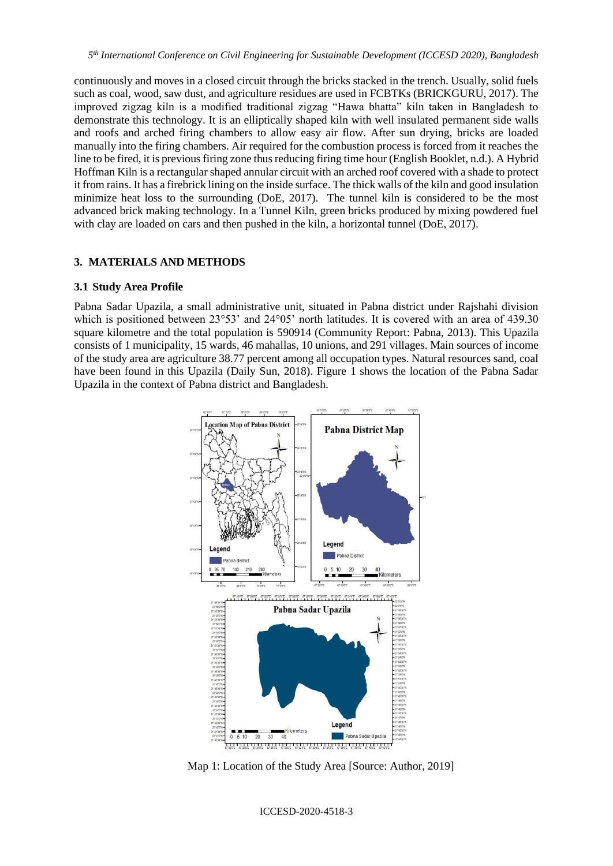continuously and moves in a closed circuit through the bricks stacked in the trench. Usually, solid fuels such as coal, wood, saw dust, and agriculture residues are used in FCBTKs (BRICKGURU, 2017). The improved zigzag kiln is a modified traditional zigzag "Hawa bhatta" kiln taken in Bangladesh to demonstrate this technology. It is an elliptically shaped kiln with well insulated permanent side walls and roofs and arched firing chambers to allow easy air flow. After sun drying, bricks are loaded manually into the firing chambers. Air required for the combustion process is forced from it reaches the line to be fired, it is previous firing zone thus reducing firing time hour (English Booklet, n.d.). A Hybrid Hoffman Kiln is a rectangular shaped annular circuit with an arched roof covered with a shade to protect it from rains. It has a firebrick lining on the inside surface. The thick walls of the kiln and good insulation minimize heat loss to the surrounding (DoE, 2017). The tunnel kiln is considered to be the most advanced brick making technology. In a Tunnel Kiln, green bricks produced by mixing powdered fuel with clay are loaded on cars and then pushed in the kiln, a horizontal tunnel (DoE, 2017).

### **3. MATERIALS AND METHODS**

### **3.1 Study Area Profile**

Pabna Sadar Upazila, a small administrative unit, situated in Pabna district under Rajshahi division which is positioned between  $23^{\circ}53'$  and  $24^{\circ}05'$  north latitudes. It is covered with an area of 439.30 square kilometre and the total population is 590914 (Community Report: Pabna, 2013). This Upazila consists of 1 municipality, 15 wards, 46 mahallas, 10 unions, and 291 villages. Main sources of income of the study area are agriculture 38.77 percent among all occupation types. Natural resources sand, coal have been found in this Upazila (Daily Sun, 2018). Figure 1 shows the location of the Pabna Sadar Upazila in the context of Pabna district and Bangladesh.



Map 1: Location of the Study Area [Source: Author, 2019]

ICCESD-2020-4518-3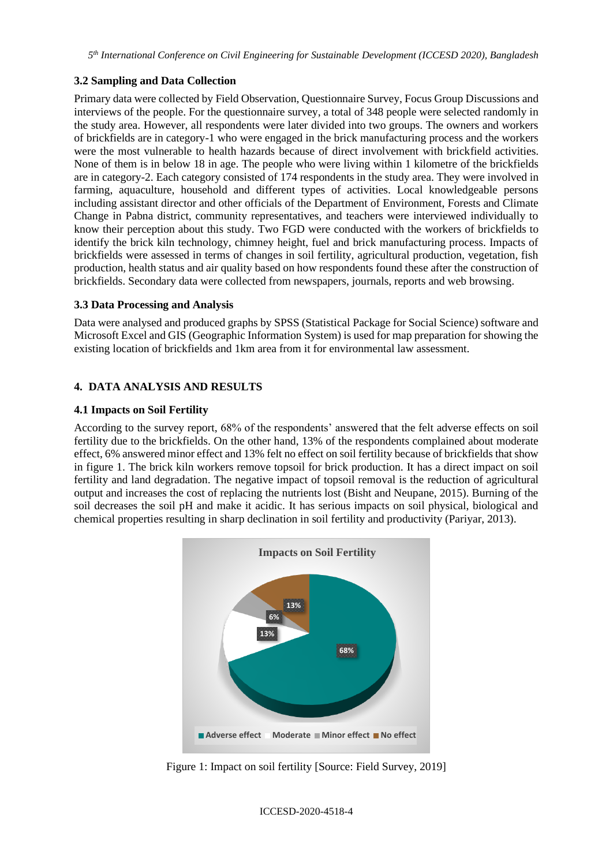# **3.2 Sampling and Data Collection**

Primary data were collected by Field Observation, Questionnaire Survey, Focus Group Discussions and interviews of the people. For the questionnaire survey, a total of 348 people were selected randomly in the study area. However, all respondents were later divided into two groups. The owners and workers of brickfields are in category-1 who were engaged in the brick manufacturing process and the workers were the most vulnerable to health hazards because of direct involvement with brickfield activities. None of them is in below 18 in age. The people who were living within 1 kilometre of the brickfields are in category-2. Each category consisted of 174 respondents in the study area. They were involved in farming, aquaculture, household and different types of activities. Local knowledgeable persons including assistant director and other officials of the Department of Environment, Forests and Climate Change in Pabna district, community representatives, and teachers were interviewed individually to know their perception about this study. Two FGD were conducted with the workers of brickfields to identify the brick kiln technology, chimney height, fuel and brick manufacturing process. Impacts of brickfields were assessed in terms of changes in soil fertility, agricultural production, vegetation, fish production, health status and air quality based on how respondents found these after the construction of brickfields. Secondary data were collected from newspapers, journals, reports and web browsing.

### **3.3 Data Processing and Analysis**

Data were analysed and produced graphs by SPSS (Statistical Package for Social Science) software and Microsoft Excel and GIS (Geographic Information System) is used for map preparation for showing the existing location of brickfields and 1km area from it for environmental law assessment.

# **4. DATA ANALYSIS AND RESULTS**

### **4.1 Impacts on Soil Fertility**

According to the survey report, 68% of the respondents' answered that the felt adverse effects on soil fertility due to the brickfields. On the other hand, 13% of the respondents complained about moderate effect, 6% answered minor effect and 13% felt no effect on soil fertility because of brickfields that show in figure 1. The brick kiln workers remove topsoil for brick production. It has a direct impact on soil fertility and land degradation. The negative impact of topsoil removal is the reduction of agricultural output and increases the cost of replacing the nutrients lost (Bisht and Neupane, 2015). Burning of the soil decreases the soil pH and make it acidic. It has serious impacts on soil physical, biological and chemical properties resulting in sharp declination in soil fertility and productivity (Pariyar, 2013).



Figure 1: Impact on soil fertility [Source: Field Survey, 2019]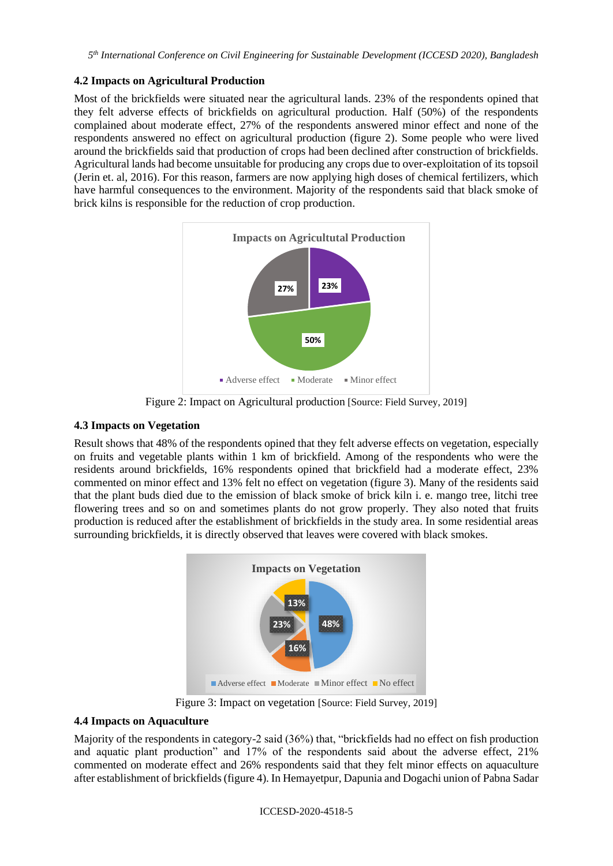## **4.2 Impacts on Agricultural Production**

Most of the brickfields were situated near the agricultural lands. 23% of the respondents opined that they felt adverse effects of brickfields on agricultural production. Half (50%) of the respondents complained about moderate effect, 27% of the respondents answered minor effect and none of the respondents answered no effect on agricultural production (figure 2). Some people who were lived around the brickfields said that production of crops had been declined after construction of brickfields. Agricultural lands had become unsuitable for producing any crops due to over-exploitation of its topsoil (Jerin et. al, 2016). For this reason, farmers are now applying high doses of chemical fertilizers, which have harmful consequences to the environment. Majority of the respondents said that black smoke of brick kilns is responsible for the reduction of crop production.



Figure 2: Impact on Agricultural production [Source: Field Survey, 2019]

# **4.3 Impacts on Vegetation**

Result shows that 48% of the respondents opined that they felt adverse effects on vegetation, especially on fruits and vegetable plants within 1 km of brickfield. Among of the respondents who were the residents around brickfields, 16% respondents opined that brickfield had a moderate effect, 23% commented on minor effect and 13% felt no effect on vegetation (figure 3). Many of the residents said that the plant buds died due to the emission of black smoke of brick kiln i. e. mango tree, litchi tree flowering trees and so on and sometimes plants do not grow properly. They also noted that fruits production is reduced after the establishment of brickfields in the study area. In some residential areas surrounding brickfields, it is directly observed that leaves were covered with black smokes.



Figure 3: Impact on vegetation [Source: Field Survey, 2019]

# **4.4 Impacts on Aquaculture**

Majority of the respondents in category-2 said (36%) that, "brickfields had no effect on fish production and aquatic plant production" and 17% of the respondents said about the adverse effect, 21% commented on moderate effect and 26% respondents said that they felt minor effects on aquaculture after establishment of brickfields (figure 4). In Hemayetpur, Dapunia and Dogachi union of Pabna Sadar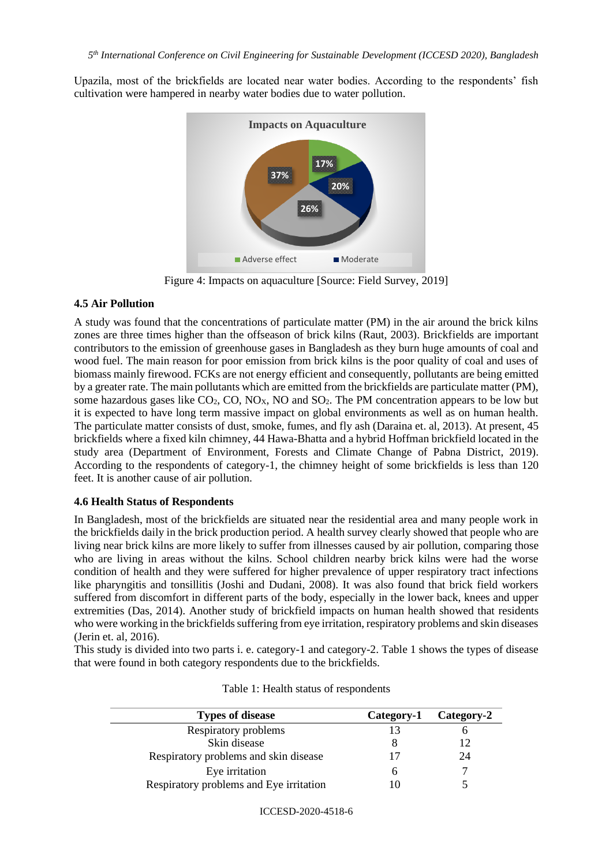Upazila, most of the brickfields are located near water bodies. According to the respondents' fish cultivation were hampered in nearby water bodies due to water pollution.



Figure 4: Impacts on aquaculture [Source: Field Survey, 2019]

### **4.5 Air Pollution**

A study was found that the concentrations of particulate matter (PM) in the air around the brick kilns zones are three times higher than the offseason of brick kilns (Raut, 2003). Brickfields are important contributors to the emission of greenhouse gases in Bangladesh as they burn huge amounts of coal and wood fuel. The main reason for poor emission from brick kilns is the poor quality of coal and uses of biomass mainly firewood. FCKs are not energy efficient and consequently, pollutants are being emitted by a greater rate. The main pollutants which are emitted from the brickfields are particulate matter (PM), some hazardous gases like  $CO_2$ ,  $CO$ ,  $NO<sub>X</sub>$ ,  $NO$  and  $SO<sub>2</sub>$ . The PM concentration appears to be low but it is expected to have long term massive impact on global environments as well as on human health. The particulate matter consists of dust, smoke, fumes, and fly ash (Daraina et. al, 2013). At present, 45 brickfields where a fixed kiln chimney, 44 Hawa-Bhatta and a hybrid Hoffman brickfield located in the study area (Department of Environment, Forests and Climate Change of Pabna District, 2019). According to the respondents of category-1, the chimney height of some brickfields is less than 120 feet. It is another cause of air pollution.

### **4.6 Health Status of Respondents**

In Bangladesh, most of the brickfields are situated near the residential area and many people work in the brickfields daily in the brick production period. A health survey clearly showed that people who are living near brick kilns are more likely to suffer from illnesses caused by air pollution, comparing those who are living in areas without the kilns. School children nearby brick kilns were had the worse condition of health and they were suffered for higher prevalence of upper respiratory tract infections like pharyngitis and tonsillitis (Joshi and Dudani, 2008). It was also found that brick field workers suffered from discomfort in different parts of the body, especially in the lower back, knees and upper extremities (Das, 2014). Another study of brickfield impacts on human health showed that residents who were working in the brickfields suffering from eye irritation, respiratory problems and skin diseases (Jerin et. al, 2016).

This study is divided into two parts i. e. category-1 and category-2. Table 1 shows the types of disease that were found in both category respondents due to the brickfields.

| <b>Types of disease</b>                 | Category-1 | Category-2 |
|-----------------------------------------|------------|------------|
| Respiratory problems                    | 13         |            |
| Skin disease                            |            |            |
| Respiratory problems and skin disease   | 17         | 24         |
| Eye irritation                          | n          |            |
| Respiratory problems and Eye irritation |            |            |

| Table 1: Health status of respondents |  |
|---------------------------------------|--|
|---------------------------------------|--|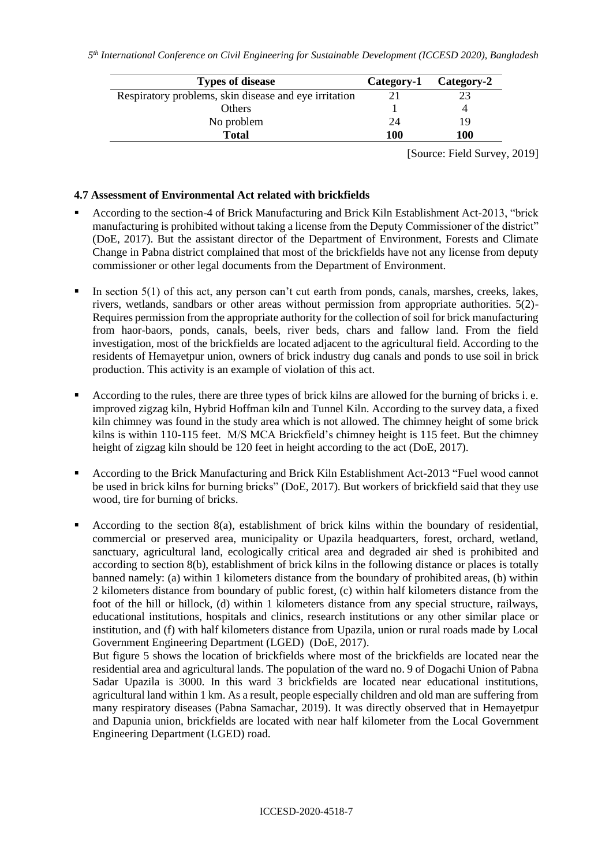| <b>Types of disease</b>                               | Category-1 | Category-2 |
|-------------------------------------------------------|------------|------------|
| Respiratory problems, skin disease and eye irritation |            |            |
| <b>Others</b>                                         |            |            |
| No problem                                            | 24         | 19         |
| <b>Total</b>                                          | 100        | 100        |

[Source: Field Survey, 2019]

#### **4.7 Assessment of Environmental Act related with brickfields**

- According to the section-4 of Brick Manufacturing and Brick Kiln Establishment Act-2013, "brick manufacturing is prohibited without taking a license from the Deputy Commissioner of the district" (DoE, 2017). But the assistant director of the Department of Environment, Forests and Climate Change in Pabna district complained that most of the brickfields have not any license from deputy commissioner or other legal documents from the Department of Environment.
- In section  $5(1)$  of this act, any person can't cut earth from ponds, canals, marshes, creeks, lakes, rivers, wetlands, sandbars or other areas without permission from appropriate authorities. 5(2)- Requires permission from the appropriate authority for the collection of soil for brick manufacturing from haor-baors, ponds, canals, beels, river beds, chars and fallow land. From the field investigation, most of the brickfields are located adjacent to the agricultural field. According to the residents of Hemayetpur union, owners of brick industry dug canals and ponds to use soil in brick production. This activity is an example of violation of this act.
- According to the rules, there are three types of brick kilns are allowed for the burning of bricks i. e. improved zigzag kiln, Hybrid Hoffman kiln and Tunnel Kiln. According to the survey data, a fixed kiln chimney was found in the study area which is not allowed. The chimney height of some brick kilns is within 110-115 feet. M/S MCA Brickfield's chimney height is 115 feet. But the chimney height of zigzag kiln should be 120 feet in height according to the act (DoE, 2017).
- According to the Brick Manufacturing and Brick Kiln Establishment Act-2013 "Fuel wood cannot be used in brick kilns for burning bricks" (DoE, 2017). But workers of brickfield said that they use wood, tire for burning of bricks.
- According to the section  $8(a)$ , establishment of brick kilns within the boundary of residential, commercial or preserved area, municipality or Upazila headquarters, forest, orchard, wetland, sanctuary, agricultural land, ecologically critical area and degraded air shed is prohibited and according to section 8(b), establishment of brick kilns in the following distance or places is totally banned namely: (a) within 1 kilometers distance from the boundary of prohibited areas, (b) within 2 kilometers distance from boundary of public forest, (c) within half kilometers distance from the foot of the hill or hillock, (d) within 1 kilometers distance from any special structure, railways, educational institutions, hospitals and clinics, research institutions or any other similar place or institution, and (f) with half kilometers distance from Upazila, union or rural roads made by Local Government Engineering Department (LGED) (DoE, 2017).

But figure 5 shows the location of brickfields where most of the brickfields are located near the residential area and agricultural lands. The population of the ward no. 9 of Dogachi Union of Pabna Sadar Upazila is 3000. In this ward 3 brickfields are located near educational institutions, agricultural land within 1 km. As a result, people especially children and old man are suffering from many respiratory diseases (Pabna Samachar, 2019). It was directly observed that in Hemayetpur and Dapunia union, brickfields are located with near half kilometer from the Local Government Engineering Department (LGED) road.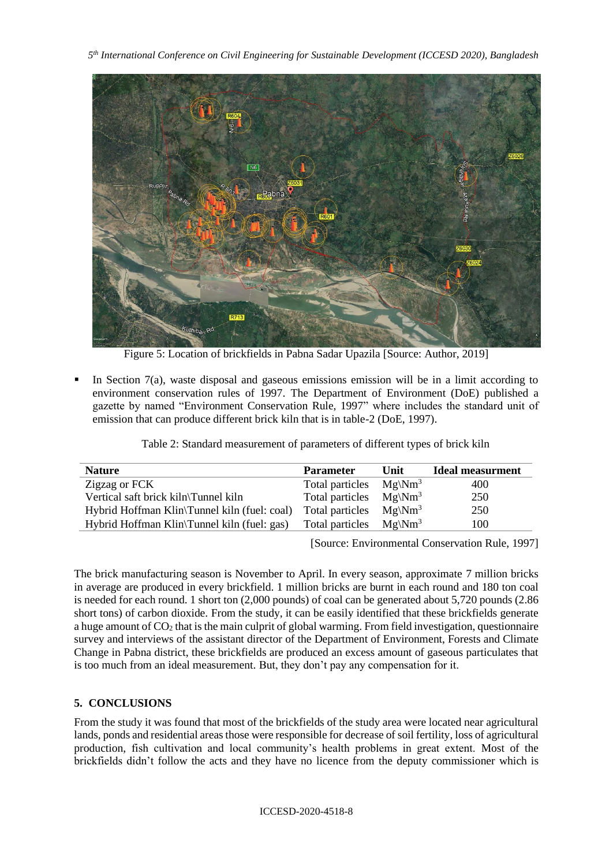*5 th International Conference on Civil Engineering for Sustainable Development (ICCESD 2020), Bangladesh*



Figure 5: Location of brickfields in Pabna Sadar Upazila [Source: Author, 2019]

In Section  $7(a)$ , waste disposal and gaseous emissions emission will be in a limit according to environment conservation rules of 1997. The Department of Environment (DoE) published a gazette by named "Environment Conservation Rule, 1997" where includes the standard unit of emission that can produce different brick kiln that is in table-2 (DoE, 1997).

| <b>Nature</b>                                | <b>Parameter</b> | Unit                | <b>Ideal measurment</b> |
|----------------------------------------------|------------------|---------------------|-------------------------|
| Zigzag or FCK                                | Total particles  | $Mg\backslash Nm^3$ | 400                     |
| Vertical saft brick kiln\Tunnel kiln         | Total particles  | $Mg\backslash Nm^3$ | 250                     |
| Hybrid Hoffman Klin\Tunnel kiln (fuel: coal) | Total particles  | $Mg\backslash Nm^3$ | 250                     |
| Hybrid Hoffman Klin\Tunnel kiln (fuel: gas)  | Total particles  | $Mg\backslash Nm^3$ | 100                     |

Table 2: Standard measurement of parameters of different types of brick kiln

[Source: Environmental Conservation Rule, 1997]

The brick manufacturing season is November to April. In every season, approximate 7 million bricks in average are produced in every brickfield. 1 million bricks are burnt in each round and 180 ton coal is needed for each round. 1 short ton (2,000 pounds) of coal can be generated about 5,720 pounds (2.86 short tons) of carbon dioxide. From the study, it can be easily identified that these brickfields generate a huge amount of  $CO<sub>2</sub>$  that is the main culprit of global warming. From field investigation, questionnaire survey and interviews of the assistant director of the Department of Environment, Forests and Climate Change in Pabna district, these brickfields are produced an excess amount of gaseous particulates that is too much from an ideal measurement. But, they don't pay any compensation for it.

# **5. CONCLUSIONS**

From the study it was found that most of the brickfields of the study area were located near agricultural lands, ponds and residential areas those were responsible for decrease of soil fertility, loss of agricultural production, fish cultivation and local community's health problems in great extent. Most of the brickfields didn't follow the acts and they have no licence from the deputy commissioner which is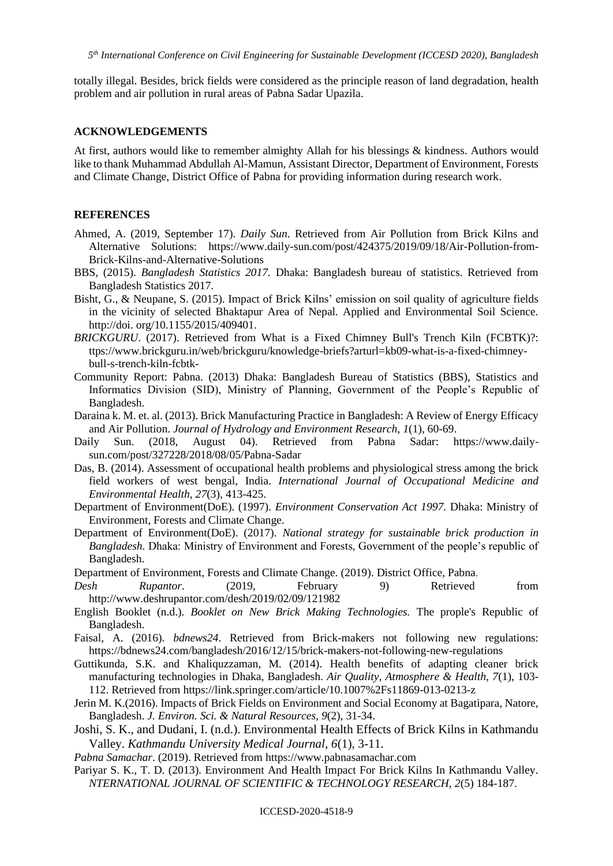*5 th International Conference on Civil Engineering for Sustainable Development (ICCESD 2020), Bangladesh*

totally illegal. Besides, brick fields were considered as the principle reason of land degradation, health problem and air pollution in rural areas of Pabna Sadar Upazila.

#### **ACKNOWLEDGEMENTS**

At first, authors would like to remember almighty Allah for his blessings & kindness. Authors would like to thank Muhammad Abdullah Al-Mamun, Assistant Director, Department of Environment, Forests and Climate Change, District Office of Pabna for providing information during research work.

### **REFERENCES**

- Ahmed, A. (2019, September 17). *Daily Sun*. Retrieved from Air Pollution from Brick Kilns and Alternative Solutions: [https://www.daily-sun.com/post/424375/2019/09/18/Air-Pollution-from-](https://www.daily-sun.com/post/424375/2019/09/18/Air-Pollution-from-Brick-Kilns-and-Alternative-Solutions)[Brick-Kilns-and-Alternative-Solutions](https://www.daily-sun.com/post/424375/2019/09/18/Air-Pollution-from-Brick-Kilns-and-Alternative-Solutions)
- BBS, (2015). *Bangladesh Statistics 2017.* Dhaka: Bangladesh bureau of statistics. Retrieved from Bangladesh Statistics 2017.
- Bisht, G., & Neupane, S. (2015). Impact of Brick Kilns' emission on soil quality of agriculture fields in the vicinity of selected Bhaktapur Area of Nepal. Applied and Environmental Soil Science. [http://doi.](http://doi/) org/10.1155/2015/409401.
- *BRICKGURU*. (2017). Retrieved from What is a Fixed Chimney Bull's Trench Kiln (FCBTK)?: ttps://www.brickguru.in/web/brickguru/knowledge-briefs?arturl=kb09-what-is-a-fixed-chimneybull-s-trench-kiln-fcbtk-
- Community Report: Pabna. (2013) Dhaka: Bangladesh Bureau of Statistics (BBS), Statistics and Informatics Division (SID), Ministry of Planning, Government of the People's Republic of Bangladesh.
- Daraina k. M. et. al. (2013). Brick Manufacturing Practice in Bangladesh: A Review of Energy Efficacy and Air Pollution. *Journal of Hydrology and Environment Research, 1*(1), 60-69.
- Daily Sun. (2018, August 04). Retrieved from Pabna Sadar: [https://www.daily](https://www.daily-sun.com/post/327228/2018/08/05/Pabna-Sadar)[sun.com/post/327228/2018/08/05/Pabna-Sadar](https://www.daily-sun.com/post/327228/2018/08/05/Pabna-Sadar)
- Das, B. (2014). Assessment of occupational health problems and physiological stress among the brick field workers of west bengal, India. *International Journal of Occupational Medicine and Environmental Health, 27*(3), 413-425.
- Department of Environment(DoE). (1997). *Environment Conservation Act 1997.* Dhaka: Ministry of Environment, Forests and Climate Change.
- Department of Environment(DoE). (2017). *National strategy for sustainable brick production in Bangladesh.* Dhaka: Ministry of Environment and Forests, Government of the people's republic of Bangladesh.
- Department of Environment, Forests and Climate Change. (2019). District Office, Pabna.
- *Desh Rupantor*. (2019, February 9) Retrieved from <http://www.deshrupantor.com/desh/2019/02/09/121982>
- English Booklet (n.d.). *Booklet on New Brick Making Technologies.* The prople's Republic of Bangladesh.
- Faisal, A. (2016). *bdnews24*. Retrieved from Brick-makers not following new regulations: https://bdnews24.com/bangladesh/2016/12/15/brick-makers-not-following-new-regulations
- Guttikunda, S.K. and Khaliquzzaman, M. (2014). Health benefits of adapting cleaner brick manufacturing technologies in Dhaka, Bangladesh. *Air Quality, Atmosphere & Health, 7*(1), 103- 112. Retrieved from<https://link.springer.com/article/10.1007%2Fs11869-013-0213-z>
- Jerin M. K.(2016). Impacts of Brick Fields on Environment and Social Economy at Bagatipara, Natore, Bangladesh. *J. Environ. Sci. & Natural Resources, 9*(2), 31-34.
- Joshi, S. K., and Dudani, I. (n.d.). Environmental Health Effects of Brick Kilns in Kathmandu Valley. *Kathmandu University Medical Journal, 6*(1), 3-11.
- *Pabna Samachar*. (2019). Retrieved from [https://www.pabnasamachar.com](https://www.pabnasamachar.com/)
- Pariyar S. K., T. D. (2013). Environment And Health Impact For Brick Kilns In Kathmandu Valley. *NTERNATIONAL JOURNAL OF SCIENTIFIC & TECHNOLOGY RESEARCH, 2*(5) 184-187.